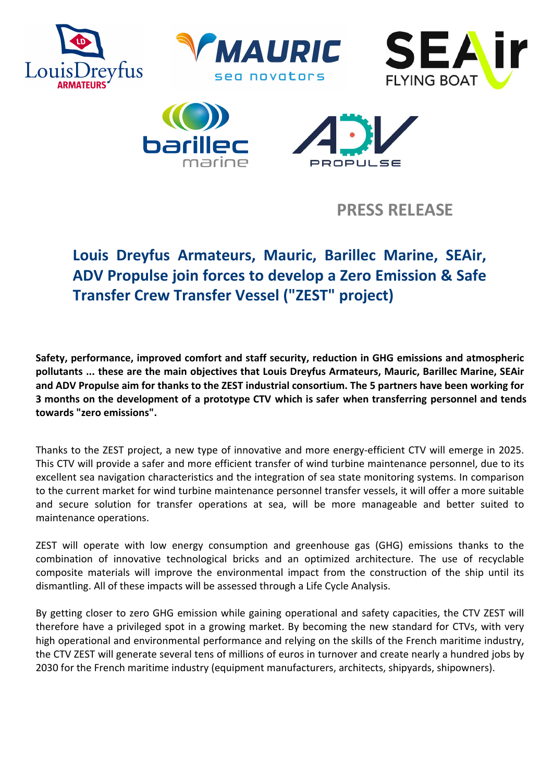



**PRESS RELEASE**

# **Louis Dreyfus Armateurs, Mauric, Barillec Marine, SEAir, ADV Propulse join forces to develop a Zero Emission & Safe Transfer Crew Transfer Vessel ("ZEST" project)**

**Safety, performance, improved comfort and staff security, reduction in GHG emissions and atmospheric pollutants ... these are the main objectives that Louis Dreyfus Armateurs, Mauric, Barillec Marine, SEAir and ADV Propulse aim for thanks to the ZEST industrial consortium. The 5 partners have been working for 3 months on the development of a prototype CTV which is safer when transferring personnel and tends towards "zero emissions".**

Thanks to the ZEST project, a new type of innovative and more energy-efficient CTV will emerge in 2025. This CTV will provide a safer and more efficient transfer of wind turbine maintenance personnel, due to its excellent sea navigation characteristics and the integration of sea state monitoring systems. In comparison to the current market for wind turbine maintenance personnel transfer vessels, it will offer a more suitable and secure solution for transfer operations at sea, will be more manageable and better suited to maintenance operations.

ZEST will operate with low energy consumption and greenhouse gas (GHG) emissions thanks to the combination of innovative technological bricks and an optimized architecture. The use of recyclable composite materials will improve the environmental impact from the construction of the ship until its dismantling. All of these impacts will be assessed through a Life Cycle Analysis.

By getting closer to zero GHG emission while gaining operational and safety capacities, the CTV ZEST will therefore have a privileged spot in a growing market. By becoming the new standard for CTVs, with very high operational and environmental performance and relying on the skills of the French maritime industry, the CTV ZEST will generate several tens of millions of euros in turnover and create nearly a hundred jobs by 2030 for the French maritime industry (equipment manufacturers, architects, shipyards, shipowners).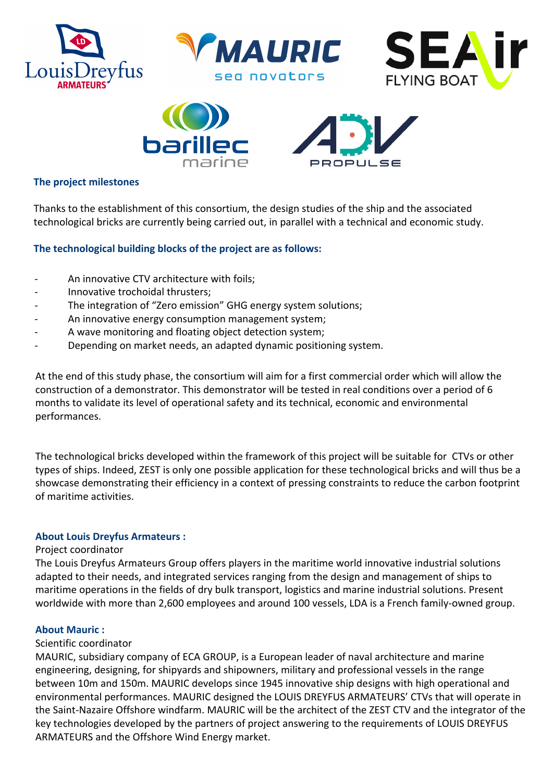





## **The project milestones**

Thanks to the establishment of this consortium, the design studies of the ship and the associated technological bricks are currently being carried out, in parallel with a technical and economic study.

#### **The technological building blocks of the project are as follows:**

- An innovative CTV architecture with foils;
- Innovative trochoidal thrusters;
- The integration of "Zero emission" GHG energy system solutions;
- An innovative energy consumption management system;
- A wave monitoring and floating object detection system;
- Depending on market needs, an adapted dynamic positioning system.

At the end of this study phase, the consortium will aim for a first commercial order which will allow the construction of a demonstrator. This demonstrator will be tested in real conditions over a period of 6 months to validate its level of operational safety and its technical, economic and environmental performances.

The technological bricks developed within the framework of this project will be suitable for CTVs or other types of ships. Indeed, ZEST is only one possible application for these technological bricks and will thus be a showcase demonstrating their efficiency in a context of pressing constraints to reduce the carbon footprint of maritime activities.

#### **About Louis Dreyfus Armateurs :**

#### Project coordinator

The Louis Dreyfus Armateurs Group offers players in the maritime world innovative industrial solutions adapted to their needs, and integrated services ranging from the design and management of ships to maritime operations in the fields of dry bulk transport, logistics and marine industrial solutions. Present worldwide with more than 2,600 employees and around 100 vessels, LDA is a French family-owned group.

#### **About Mauric :**

#### Scientific coordinator

MAURIC, subsidiary company of ECA GROUP, is a European leader of naval architecture and marine engineering, designing, for shipyards and shipowners, military and professional vessels in the range between 10m and 150m. MAURIC develops since 1945 innovative ship designs with high operational and environmental performances. MAURIC designed the LOUIS DREYFUS ARMATEURS' CTVs that will operate in the Saint-Nazaire Offshore windfarm. MAURIC will be the architect of the ZEST CTV and the integrator of the key technologies developed by the partners of project answering to the requirements of LOUIS DREYFUS ARMATEURS and the Offshore Wind Energy market.